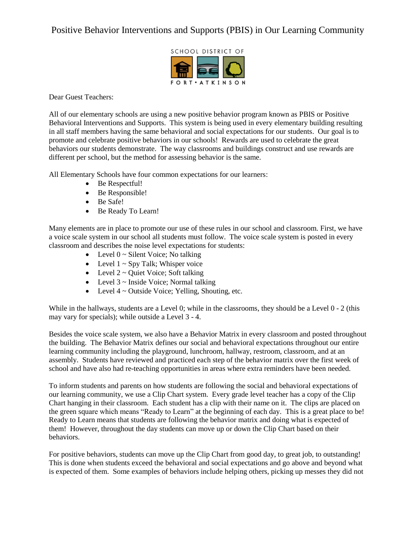## Positive Behavior Interventions and Supports (PBIS) in Our Learning Community



## Dear Guest Teachers:

All of our elementary schools are using a new positive behavior program known as PBIS or Positive Behavioral Interventions and Supports. This system is being used in every elementary building resulting in all staff members having the same behavioral and social expectations for our students. Our goal is to promote and celebrate positive behaviors in our schools! Rewards are used to celebrate the great behaviors our students demonstrate. The way classrooms and buildings construct and use rewards are different per school, but the method for assessing behavior is the same.

All Elementary Schools have four common expectations for our learners:

- Be Respectful!
- Be Responsible!
- Be Safe!
- Be Ready To Learn!

Many elements are in place to promote our use of these rules in our school and classroom. First, we have a voice scale system in our school all students must follow. The voice scale system is posted in every classroom and describes the noise level expectations for students:

- Level  $0 \sim$  Silent Voice; No talking
- Level  $1 \sim Spy$  Talk; Whisper voice
- Level  $2 \sim$  Quiet Voice; Soft talking
- $\bullet$  Level 3 ~ Inside Voice; Normal talking
- Level  $4 \sim$  Outside Voice; Yelling, Shouting, etc.

While in the hallways, students are a Level 0; while in the classrooms, they should be a Level 0 - 2 (this may vary for specials); while outside a Level 3 - 4.

Besides the voice scale system, we also have a Behavior Matrix in every classroom and posted throughout the building. The Behavior Matrix defines our social and behavioral expectations throughout our entire learning community including the playground, lunchroom, hallway, restroom, classroom, and at an assembly. Students have reviewed and practiced each step of the behavior matrix over the first week of school and have also had re-teaching opportunities in areas where extra reminders have been needed.

To inform students and parents on how students are following the social and behavioral expectations of our learning community, we use a Clip Chart system. Every grade level teacher has a copy of the Clip Chart hanging in their classroom. Each student has a clip with their name on it. The clips are placed on the green square which means "Ready to Learn" at the beginning of each day. This is a great place to be! Ready to Learn means that students are following the behavior matrix and doing what is expected of them! However, throughout the day students can move up or down the Clip Chart based on their behaviors.

For positive behaviors, students can move up the Clip Chart from good day, to great job, to outstanding! This is done when students exceed the behavioral and social expectations and go above and beyond what is expected of them. Some examples of behaviors include helping others, picking up messes they did not